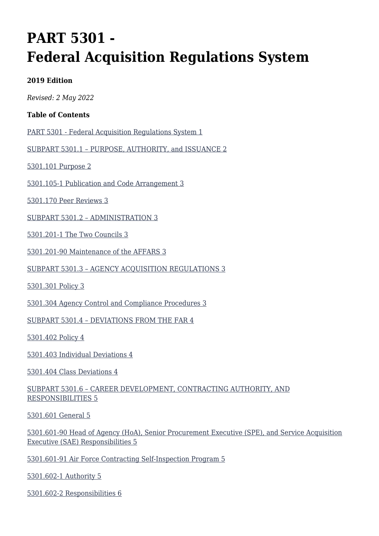# **PART 5301 - Federal Acquisition Regulations System**

#### **2019 Edition**

*Revised: 2 May 2022*

#### **Table of Contents**

[PART 5301 - Federal Acquisition Regulations System 1](#page--1-0)

[SUBPART 5301.1 – PURPOSE, AUTHORITY, and ISSUANCE 2](#page--1-0)

[5301.101 Purpose 2](#page--1-0)

[5301.105-1 Publication and Code Arrangement 3](#page--1-0)

[5301.170 Peer Reviews 3](#page--1-0)

[SUBPART 5301.2 – ADMINISTRATION 3](#page--1-0)

[5301.201-1 The Two Councils 3](#page--1-0)

[5301.201-90 Maintenance of the AFFARS 3](#page--1-0)

[SUBPART 5301.3 – AGENCY ACQUISITION REGULATIONS 3](#page--1-0)

[5301.301 Policy 3](#page--1-0)

[5301.304 Agency Control and Compliance Procedures 3](#page--1-0)

[SUBPART 5301.4 – DEVIATIONS FROM THE FAR 4](#page--1-0)

[5301.402 Policy 4](#page--1-0)

[5301.403 Individual Deviations 4](#page--1-0)

[5301.404 Class Deviations 4](#page--1-0)

#### [SUBPART 5301.6 – CAREER DEVELOPMENT, CONTRACTING AUTHORITY, AND](#page--1-0) [RESPONSIBILITIES 5](#page--1-0)

[5301.601 General 5](#page--1-0)

[5301.601-90 Head of Agency \(HoA\), Senior Procurement Executive \(SPE\), and Service Acquisition](#page--1-0) [Executive \(SAE\) Responsibilities 5](#page--1-0)

[5301.601-91 Air Force Contracting Self-Inspection Program 5](#page--1-0)

[5301.602-1 Authority 5](#page--1-0)

[5301.602-2 Responsibilities 6](#page--1-0)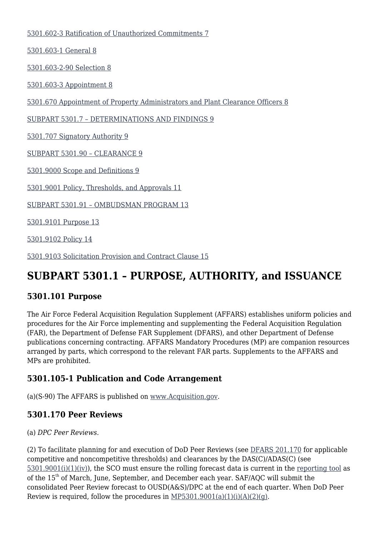[5301.602-3 Ratification of Unauthorized Commitments 7](#page--1-0)

[5301.603-1 General 8](#page--1-0)

[5301.603-2-90 Selection 8](#page--1-0)

[5301.603-3 Appointment 8](#page--1-0)

[5301.670 Appointment of Property Administrators and Plant Clearance Officers 8](#page--1-0)

[SUBPART 5301.7 – DETERMINATIONS AND FINDINGS 9](#page--1-0)

[5301.707 Signatory Authority 9](#page--1-0)

[SUBPART 5301.90 – CLEARANCE 9](#page--1-0)

[5301.9000 Scope and Definitions 9](#page--1-0)

[5301.9001 Policy, Thresholds, and Approvals 11](#page--1-0)

[SUBPART 5301.91 – OMBUDSMAN PROGRAM 13](#page--1-0)

[5301.9101 Purpose 13](#page--1-0)

[5301.9102 Policy 14](#page--1-0)

[5301.9103 Solicitation Provision and Contract Clause 15](#page--1-0)

# **SUBPART 5301.1 – PURPOSE, AUTHORITY, and ISSUANCE**

#### **5301.101 Purpose**

The Air Force Federal Acquisition Regulation Supplement (AFFARS) establishes uniform policies and procedures for the Air Force implementing and supplementing the Federal Acquisition Regulation (FAR), the Department of Defense FAR Supplement (DFARS), and other Department of Defense publications concerning contracting. AFFARS Mandatory Procedures (MP) are companion resources arranged by parts, which correspond to the relevant FAR parts. Supplements to the AFFARS and MPs are prohibited.

#### **5301.105-1 Publication and Code Arrangement**

(a)(S-90) The AFFARS is published on [www.Acquisition.gov](http://www.Acquisition.gov).

#### **5301.170 Peer Reviews**

#### (a) *DPC Peer Reviews.*

(2) To facilitate planning for and execution of DoD Peer Reviews (see [DFARS 201.170](https://www.acquisition.gov/dfars/part-201-federal-acquisition-regulations-system#DFARS-201.170) for applicable competitive and noncompetitive thresholds) and clearances by the DAS(C)/ADAS(C) (see [5301.9001\(i\)\(1\)\(iv\)](#_5301.9001__)), the SCO must ensure the rolling forecast data is current in the [reporting tool](https://usaf.dps.mil/sites/AFCC/KnowledgeCenter/quarterly_updates/Forms/AllItems.aspx) as of the 15<sup>th</sup> of March, June, September, and December each year. SAF/AQC will submit the consolidated Peer Review forecast to OUSD(A&S)/DPC at the end of each quarter. When DoD Peer Review is required, follow the procedures in  $MP5301.9001(a)(1)(i)(A)(2)(q)$ .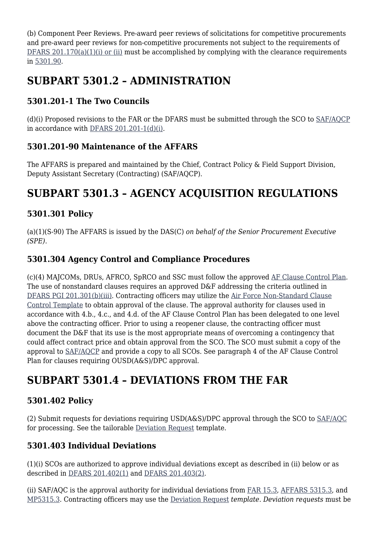(b) Component Peer Reviews. Pre-award peer reviews of solicitations for competitive procurements and pre-award peer reviews for non-competitive procurements not subject to the requirements of [DFARS 201.170\(a\)\(1\)\(i\) or \(ii\)](https://www.acquisition.gov/dfars/part-201-federal-acquisition-regulations-system#DFARS-201.170) must be accomplished by complying with the clearance requirements in [5301.90](#page--1-0).

# **SUBPART 5301.2 – ADMINISTRATION**

### **5301.201-1 The Two Councils**

(d)(i) Proposed revisions to the FAR or the DFARS must be submitted through the SCO to [SAF/AQCP](mailto:SAF.AQ.SAF-AQCP.Workflow@us.af.mil) in accordance with [DFARS 201.201-1\(d\)\(i\).](https://www.acquisition.gov/dfars/part-201-federal-acquisition-regulations-system#DFARS-201.201-1)

### **5301.201-90 Maintenance of the AFFARS**

The AFFARS is prepared and maintained by the Chief, Contract Policy & Field Support Division, Deputy Assistant Secretary (Contracting) (SAF/AQCP).

# **SUBPART 5301.3 – AGENCY ACQUISITION REGULATIONS**

### **5301.301 Policy**

(a)(1)(S-90) The AFFARS is issued by the DAS(C) *on behalf of the Senior Procurement Executive (SPE)*.

### **5301.304 Agency Control and Compliance Procedures**

(c)(4) MAJCOMs, DRUs, AFRCO, SpRCO and SSC must follow the approved [AF Clause Control Plan.](https://usaf.dps.mil/sites/AFCC/KnowledgeCenter/Documents/AFFARS_Library/5301/2010-02-02_dpap_memo.pdf) The use of nonstandard clauses requires an approved D&F addressing the criteria outlined in [DFARS PGI 201.301\(b\)\(iii\).](https://www.acquisition.gov/dfars/part-201-federal-acquisition-regulations-system#DFARS-201.301) Contracting officers may utilize the [Air Force Non-Standard Clause](https://usaf.dps.mil/sites/AFCC/KnowledgeCenter/contracting_templates/AF_nonstandard_clause_control.docx) [Control Template](https://usaf.dps.mil/sites/AFCC/KnowledgeCenter/contracting_templates/AF_nonstandard_clause_control.docx) to obtain approval of the clause. The approval authority for clauses used in accordance with 4.b., 4.c., and 4.d. of the AF Clause Control Plan has been delegated to one level above the contracting officer. Prior to using a reopener clause, the contracting officer must document the D&F that its use is the most appropriate means of overcoming a contingency that could affect contract price and obtain approval from the SCO. The SCO must submit a copy of the approval to [SAF/AQCP](mailto:SAF.AQ.SAF-AQCP.Workflow@us.af.mil) and provide a copy to all SCOs. See paragraph 4 of the AF Clause Control Plan for clauses requiring OUSD(A&S)/DPC approval.

# **SUBPART 5301.4 – DEVIATIONS FROM THE FAR**

### **5301.402 Policy**

(2) Submit requests for deviations requiring USD(A&S)/DPC approval through the SCO to [SAF/AQC](mailto:SAF.AQ.SAF-AQC.Workflow@us.af.mil) for processing. See the tailorable [Deviation Request](https://usaf.dps.mil/sites/AFCC/KnowledgeCenter/contracting_templates/deviation_request.pdf) template.

#### **5301.403 Individual Deviations**

(1)(i) SCOs are authorized to approve individual deviations except as described in (ii) below or as described in [DFARS 201.402\(1\)](https://www.acquisition.gov/dfars/part-201-federal-acquisition-regulations-system#DFARS-201.402) and [DFARS 201.403\(2\).](https://www.acquisition.gov/dfars/part-201-federal-acquisition-regulations-system#DFARS-201.403)

(ii) SAF/AQC is the approval authority for individual deviations from [FAR 15.3](https://www.acquisition.gov/far/part-15#FAR_Subpart_15_3), [AFFARS 5315.3](https://origin-www.acquisition.gov/%5Brp:link:affars-part-5315%5D#p5315_3), and [MP5315.3](https://origin-www.acquisition.gov/%5Brp:link:affars-mp-AFFARS-MP_PART-mp_5315.3%5D)*.* Contracting officers may use the [Deviation Request](https://usaf.dps.mil/sites/AFCC/KnowledgeCenter/contracting_templates/deviation_request.pdf) *template. Deviation requests* must be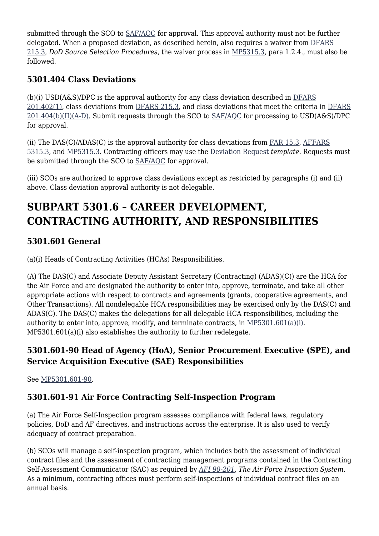submitted through the SCO to [SAF/AQC](mailto:SAF.AQ.SAF-AQC.Workflow@us.af.mil) for approval. This approval authority must not be further delegated. When a proposed deviation, as described herein, also requires a waiver from [DFARS](https://www.acquisition.gov/dfars/part-215-contracting-negotiation#DFARS-SUBPART_215.3) [215.3,](https://www.acquisition.gov/dfars/part-215-contracting-negotiation#DFARS-SUBPART_215.3) *DoD Source Selection Procedures*, the waiver process in [MP5315.3,](https://origin-www.acquisition.gov/%5Brp:link:affars-mp-file:///%5C%5Cperiwinkle_vnx%5Csaf_aqc_org%5CAQCP%5C5640%20-%20AFFARS%5CArchive%20--%20AFACs%5C!_Previous%20AFACs%5C2022%5C2022%20(01)%5C2.%20%20Changes%20Accepted%5Cmp_5315.3%5D) para 1.2.4., must also be followed.

## **5301.404 Class Deviations**

(b)(i) USD(A&S)/DPC is the approval authority for any class deviation described in [DFARS](https://www.acquisition.gov/dfars/part-201-federal-acquisition-regulations-system#DFARS-201.402) [201.402\(1\)](https://www.acquisition.gov/dfars/part-201-federal-acquisition-regulations-system#DFARS-201.402), class deviations from [DFARS 215.3,](https://www.acquisition.gov/dfars/part-215-contracting-negotiation#DFARS-SUBPART_215.3) and class deviations that meet the criteria in [DFARS](https://www.acquisition.gov/dfars/part-201-federal-acquisition-regulations-system#DFARS-201.404) [201.404\(b\)\(II\)\(A-D\)](https://www.acquisition.gov/dfars/part-201-federal-acquisition-regulations-system#DFARS-201.404). Submit requests through the SCO to [SAF/AQC](mailto:SAF.AQ.SAF-AQC.Workflow@us.af.mil) for processing to USD(A&S)/DPC for approval.

(ii) The DAS(C)/ADAS(C) is the approval authority for class deviations from [FAR 15.3](https://www.acquisition.gov/far/part-15#FAR_Subpart_15_3), [AFFARS](https://origin-www.acquisition.gov/%5Brp:link:affars-part-5315%5D#p5315_3) [5315.3](https://origin-www.acquisition.gov/%5Brp:link:affars-part-5315%5D#p5315_3), and [MP5315.3.](https://origin-www.acquisition.gov/%5Brp:link:affars-mp-file:///%5C%5Cperiwinkle_vnx%5Csaf_aqc_org%5CAQCP%5C5640%20-%20AFFARS%5CArchive%20--%20AFACs%5C!_Previous%20AFACs%5C2022%5C2022%20(01)%5C2.%20%20Changes%20Accepted%5Cmp_5315.3%5D) Contracting officers may use the [Deviation Request](https://usaf.dps.mil/sites/AFCC/KnowledgeCenter/contracting_templates/deviation_request.pdf) *template*. Requests must be submitted through the SCO to [SAF/AQC](mailto:SAF.AQ.SAF-AQC.Workflow@us.af.mil) for approval.

(iii) SCOs are authorized to approve class deviations except as restricted by paragraphs (i) and (ii) above. Class deviation approval authority is not delegable.

# **SUBPART 5301.6 – CAREER DEVELOPMENT, CONTRACTING AUTHORITY, AND RESPONSIBILITIES**

### **5301.601 General**

(a)(i) Heads of Contracting Activities (HCAs) Responsibilities.

(A) The DAS(C) and Associate Deputy Assistant Secretary (Contracting) (ADAS)(C)) are the HCA for the Air Force and are designated the authority to enter into, approve, terminate, and take all other appropriate actions with respect to contracts and agreements (grants, cooperative agreements, and Other Transactions). All nondelegable HCA responsibilities may be exercised only by the DAS(C) and ADAS(C). The DAS(C) makes the delegations for all delegable HCA responsibilities, including the authority to enter into, approve, modify, and terminate contracts, in [MP5301.601\(a\)\(i\).](https://origin-www.acquisition.gov/%5Brp:link:affars-mp-AFFARS-MP_PART-mp_5301.601(a)(i)%5D) MP5301.601(a)(i) also establishes the authority to further redelegate.

#### **5301.601-90 Head of Agency (HoA), Senior Procurement Executive (SPE), and Service Acquisition Executive (SAE) Responsibilities**

See [MP5301.601-90](https://origin-www.acquisition.gov/%5Brp:link:affars-mp-AFFARS-MP_PART-mp_5301.601-90%5D).

### **5301.601-91 Air Force Contracting Self-Inspection Program**

(a) The Air Force Self-Inspection program assesses compliance with federal laws, regulatory policies, DoD and AF directives, and instructions across the enterprise. It is also used to verify adequacy of contract preparation.

(b) SCOs will manage a self-inspection program, which includes both the assessment of individual contract files and the assessment of contracting management programs contained in the Contracting Self-Assessment Communicator (SAC) as required by *[AFI 90-201](http://static.e-publishing.af.mil/production/1/saf_ig/publication/afi90-201/afi90-201.pdf)*, *The Air Force Inspection System*. As a minimum, contracting offices must perform self-inspections of individual contract files on an annual basis.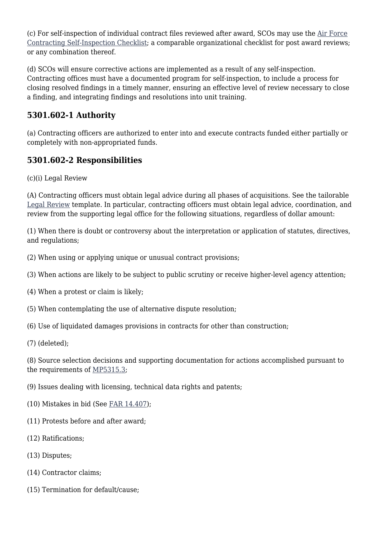(c) For self-inspection of individual contract files reviewed after award, SCOs may use the [Air Force](https://usaf.dps.mil/sites/AFCC/KnowledgeCenter/contracting_templates/self_inspection_checklist.xlsx) [Contracting Self-Inspection Checklist;](https://usaf.dps.mil/sites/AFCC/KnowledgeCenter/contracting_templates/self_inspection_checklist.xlsx) a comparable organizational checklist for post award reviews; or any combination thereof.

(d) SCOs will ensure corrective actions are implemented as a result of any self-inspection. Contracting offices must have a documented program for self-inspection, to include a process for closing resolved findings in a timely manner, ensuring an effective level of review necessary to close a finding, and integrating findings and resolutions into unit training.

#### **5301.602-1 Authority**

(a) Contracting officers are authorized to enter into and execute contracts funded either partially or completely with non-appropriated funds.

#### **5301.602-2 Responsibilities**

(c)(i) Legal Review

(A) Contracting officers must obtain legal advice during all phases of acquisitions. See the tailorable [Legal Review](https://usaf.dps.mil/sites/AFCC/KnowledgeCenter/contracting_templates/legal_review.pdf) template. In particular, contracting officers must obtain legal advice, coordination, and review from the supporting legal office for the following situations, regardless of dollar amount:

(1) When there is doubt or controversy about the interpretation or application of statutes, directives, and regulations;

- (2) When using or applying unique or unusual contract provisions;
- (3) When actions are likely to be subject to public scrutiny or receive higher-level agency attention;
- (4) When a protest or claim is likely;
- (5) When contemplating the use of alternative dispute resolution;
- (6) Use of liquidated damages provisions in contracts for other than construction;
- (7) (deleted);

(8) Source selection decisions and supporting documentation for actions accomplished pursuant to the requirements of [MP5315.3;](https://origin-www.acquisition.gov/%5Brp:link:affars-mp-file:///%5C%5Cperiwinkle_vnx%5Csaf_aqc_org%5CAQCP%5C5640%20-%20AFFARS%5CArchive%20--%20AFACs%5C!_Previous%20AFACs%5C2022%5C2022%20(01)%5C2.%20%20Changes%20Accepted%5Cmp_5315.3%5D)

- (9) Issues dealing with licensing, technical data rights and patents;
- (10) Mistakes in bid (See [FAR 14.407\)](https://www.acquisition.gov/far/part-14#FAR_14_407);
- (11) Protests before and after award;
- (12) Ratifications;
- (13) Disputes;
- (14) Contractor claims;
- (15) Termination for default/cause;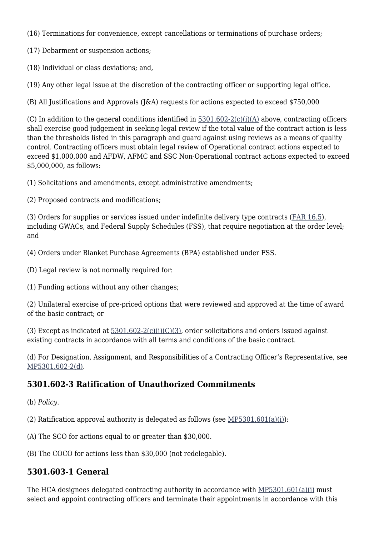(16) Terminations for convenience, except cancellations or terminations of purchase orders;

(17) Debarment or suspension actions;

(18) Individual or class deviations; and,

(19) Any other legal issue at the discretion of the contracting officer or supporting legal office.

(B) All Justifications and Approvals (J&A) requests for actions expected to exceed \$750,000

(C) In addition to the general conditions identified in  $5301.602-2(c)(i)(A)$  above, contracting officers shall exercise good judgement in seeking legal review if the total value of the contract action is less than the thresholds listed in this paragraph and guard against using reviews as a means of quality control. Contracting officers must obtain legal review of Operational contract actions expected to exceed \$1,000,000 and AFDW, AFMC and SSC Non-Operational contract actions expected to exceed \$5,000,000, as follows:

(1) Solicitations and amendments, except administrative amendments;

(2) Proposed contracts and modifications;

(3) Orders for supplies or services issued under indefinite delivery type contracts ([FAR 16.5\)](https://www.acquisition.gov/far/part-16#FAR_Subpart_16_5), including GWACs, and Federal Supply Schedules (FSS), that require negotiation at the order level; and

(4) Orders under Blanket Purchase Agreements (BPA) established under FSS.

(D) Legal review is not normally required for:

(1) Funding actions without any other changes;

(2) Unilateral exercise of pre-priced options that were reviewed and approved at the time of award of the basic contract; or

(3) Except as indicated at  $5301.602-2(c)(i)(C)(3)$ , order solicitations and orders issued against existing contracts in accordance with all terms and conditions of the basic contract.

(d) For Designation, Assignment, and Responsibilities of a Contracting Officer's Representative, see [MP5301.602-2\(d\)](https://origin-www.acquisition.gov/%5Brp:link:affars-mp-AFFARS-MP_PART-mp_5301.602-2(d)%5D).

#### **5301.602-3 Ratification of Unauthorized Commitments**

- (b) *Policy*.
- (2) Ratification approval authority is delegated as follows (see  $MP5301.601(a)(i)$ ):
- (A) The SCO for actions equal to or greater than \$30,000.
- (B) The COCO for actions less than \$30,000 (not redelegable).

#### **5301.603-1 General**

The HCA designees delegated contracting authority in accordance with  $MP5301.601(a)(i)$  must select and appoint contracting officers and terminate their appointments in accordance with this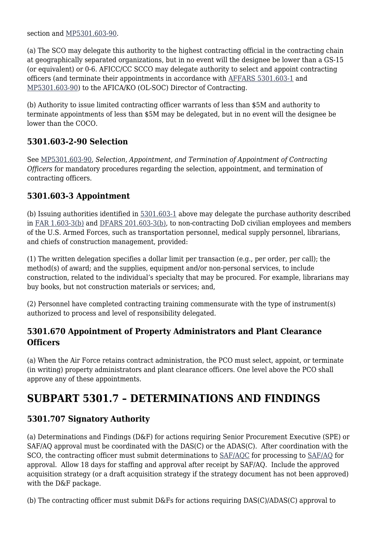section and [MP5301.603-90](https://origin-www.acquisition.gov/%5Brp:link:affars-mp-AFFARS-MP_PART-mp_5301.603-90%5D).

(a) The SCO may delegate this authority to the highest contracting official in the contracting chain at geographically separated organizations, but in no event will the designee be lower than a GS-15 (or equivalent) or 0-6. AFICC/CC SCCO may delegate authority to select and appoint contracting officers (and terminate their appointments in accordance with [AFFARS 5301.603-1](#page--1-0) and [MP5301.603-90](https://origin-www.acquisition.gov/%5Brp:link:affars-mp-file:///%5C%5Cperiwinkle_vnx%5Csaf_aqc_org%5CAQCP%5C5640%20-%20AFFARS%5CArchive%20--%20AFACs%5C!_Previous%20AFACs%5C2022%5C2022%20(01)%5C2.%20%20Changes%20Accepted%5Cmp_5301.603-90%5D)) to the AFICA/KO (OL-SOC) Director of Contracting.

(b) Authority to issue limited contracting officer warrants of less than \$5M and authority to terminate appointments of less than \$5M may be delegated, but in no event will the designee be lower than the COCO.

#### **5301.603-2-90 Selection**

See [MP5301.603-90](https://origin-www.acquisition.gov/%5Brp:link:affars-mp-file:///%5C%5Cperiwinkle_vnx%5Csaf_aqc_org%5CAQCP%5C5640%20-%20AFFARS%5CArchive%20--%20AFACs%5C!_Previous%20AFACs%5C2022%5C2022%20(01)%5C2.%20%20Changes%20Accepted%5Cmp_5301.603-90%5D), *Selection, Appointment, and Termination of Appointment of Contracting Officers* for mandatory procedures regarding the selection, appointment, and termination of contracting officers.

#### **5301.603-3 Appointment**

(b) Issuing authorities identified in [5301.603-1](https://origin-www.acquisition.gov/%5Brp:link:affars-part-5301%5D#p5301_603_1) above may delegate the purchase authority described in [FAR 1.603-3\(b\)](https://www.acquisition.gov/far/part-1#FAR_1_603_3) and [DFARS 201.603-3\(b\),](https://www.acquisition.gov/dfars/part-201-federal-acquisition-regulations-system#DFARS-201.603-3) to non-contracting DoD civilian employees and members of the U.S. Armed Forces, such as transportation personnel, medical supply personnel, librarians, and chiefs of construction management, provided:

(1) The written delegation specifies a dollar limit per transaction (e.g., per order, per call); the method(s) of award; and the supplies, equipment and/or non-personal services, to include construction, related to the individual's specialty that may be procured. For example, librarians may buy books, but not construction materials or services; and,

(2) Personnel have completed contracting training commensurate with the type of instrument(s) authorized to process and level of responsibility delegated.

#### **5301.670 Appointment of Property Administrators and Plant Clearance Officers**

(a) When the Air Force retains contract administration, the PCO must select, appoint, or terminate (in writing) property administrators and plant clearance officers. One level above the PCO shall approve any of these appointments.

# **SUBPART 5301.7 – DETERMINATIONS AND FINDINGS**

#### **5301.707 Signatory Authority**

(a) Determinations and Findings (D&F) for actions requiring Senior Procurement Executive (SPE) or SAF/AQ approval must be coordinated with the DAS(C) or the ADAS(C). After coordination with the SCO, the contracting officer must submit determinations to  $SAF/AC$  for processing to  $SAF/AC$  for approval. Allow 18 days for staffing and approval after receipt by SAF/AQ. Include the approved acquisition strategy (or a draft acquisition strategy if the strategy document has not been approved) with the D&F package.

(b) The contracting officer must submit D&Fs for actions requiring DAS(C)/ADAS(C) approval to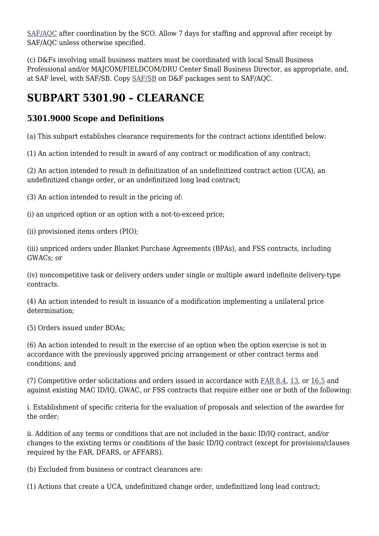[SAF/AQC](mailto:SAF.AQ.SAF-AQC.Workflow@us.af.mil) after coordination by the SCO. Allow 7 days for staffing and approval after receipt by SAF/AQC unless otherwise specified.

(c) D&Fs involving small business matters must be coordinated with local Small Business Professional and/or MAJCOM/FIELDCOM/DRU Center Small Business Director, as appropriate, and, at SAF level, with SAF/SB. Copy [SAF/SB](mailto:SAF.SB.workflow@us.af.mil) on D&F packages sent to SAF/AQC.

# **SUBPART 5301.90 – CLEARANCE**

### **5301.9000 Scope and Definitions**

(a) This subpart establishes clearance requirements for the contract actions identified below:

(1) An action intended to result in award of any contract or modification of any contract;

(2) An action intended to result in definitization of an undefinitized contract action (UCA), an undefinitized change order, or an undefinitized long lead contract;

(3) An action intended to result in the pricing of:

(i) an unpriced option or an option with a not-to-exceed price;

(ii) provisioned items orders (PIO);

(iii) unpriced orders under Blanket Purchase Agreements (BPAs), and FSS contracts, including GWACs; or

(iv) noncompetitive task or delivery orders under single or multiple award indefinite delivery-type contracts.

(4) An action intended to result in issuance of a modification implementing a unilateral price determination;

(5) Orders issued under BOAs;

(6) An action intended to result in the exercise of an option when the option exercise is not in accordance with the previously approved pricing arrangement or other contract terms and conditions; and

(7) Competitive order solicitations and orders issued in accordance with [FAR 8.4,](https://www.acquisition.gov/far/part-8#FAR_Subpart_8_4) [13,](https://www.acquisition.gov/far/part-13) or [16.5](https://www.acquisition.gov/far/part-16#FAR_Subpart_16_5) and against existing MAC ID/IQ, GWAC, or FSS contracts that require either one or both of the following:

i. Establishment of specific criteria for the evaluation of proposals and selection of the awardee for the order;

ii. Addition of any terms or conditions that are not included in the basic ID/IQ contract, and/or changes to the existing terms or conditions of the basic ID/IQ contract (except for provisions/clauses required by the FAR, DFARS, or AFFARS).

(b) Excluded from business or contract clearances are:

(1) Actions that create a UCA, undefinitized change order, undefinitized long lead contract;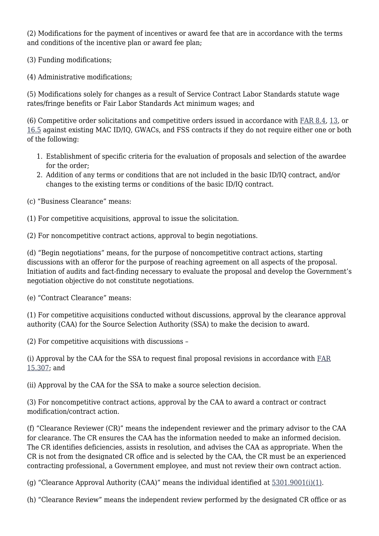(2) Modifications for the payment of incentives or award fee that are in accordance with the terms and conditions of the incentive plan or award fee plan;

(3) Funding modifications;

(4) Administrative modifications;

(5) Modifications solely for changes as a result of Service Contract Labor Standards statute wage rates/fringe benefits or Fair Labor Standards Act minimum wages; and

(6) Competitive order solicitations and competitive orders issued in accordance with  $FAR 8.4$ , [13](https://www.acquisition.gov/far/part-13), or [16.5](https://www.acquisition.gov/far/part-16#FAR_Subpart_16_5) against existing MAC ID/IQ, GWACs, and FSS contracts if they do not require either one or both of the following:

- 1. Establishment of specific criteria for the evaluation of proposals and selection of the awardee for the order;
- 2. Addition of any terms or conditions that are not included in the basic ID/IQ contract, and/or changes to the existing terms or conditions of the basic ID/IQ contract.
- (c) "Business Clearance" means:
- (1) For competitive acquisitions, approval to issue the solicitation.

(2) For noncompetitive contract actions, approval to begin negotiations.

(d) "Begin negotiations" means, for the purpose of noncompetitive contract actions, starting discussions with an offeror for the purpose of reaching agreement on all aspects of the proposal. Initiation of audits and fact-finding necessary to evaluate the proposal and develop the Government's negotiation objective do not constitute negotiations.

(e) "Contract Clearance" means:

(1) For competitive acquisitions conducted without discussions, approval by the clearance approval authority (CAA) for the Source Selection Authority (SSA) to make the decision to award.

(2) For competitive acquisitions with discussions –

(i) Approval by the CAA for the SSA to request final proposal revisions in accordance with  $FAR$ [15.307](https://www.acquisition.gov/far/part-15#FAR_15_307); and

(ii) Approval by the CAA for the SSA to make a source selection decision.

(3) For noncompetitive contract actions, approval by the CAA to award a contract or contract modification/contract action.

(f) "Clearance Reviewer (CR)" means the independent reviewer and the primary advisor to the CAA for clearance. The CR ensures the CAA has the information needed to make an informed decision. The CR identifies deficiencies, assists in resolution, and advises the CAA as appropriate. When the CR is not from the designated CR office and is selected by the CAA, the CR must be an experienced contracting professional, a Government employee, and must not review their own contract action.

(g) "Clearance Approval Authority (CAA)" means the individual identified at  $5301.9001(i)(1)$ .

(h) "Clearance Review" means the independent review performed by the designated CR office or as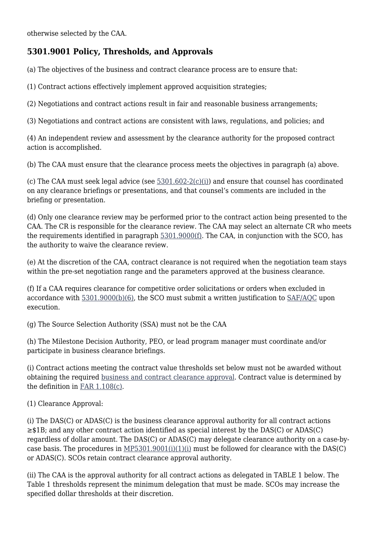### **5301.9001 Policy, Thresholds, and Approvals**

(a) The objectives of the business and contract clearance process are to ensure that:

(1) Contract actions effectively implement approved acquisition strategies;

(2) Negotiations and contract actions result in fair and reasonable business arrangements;

(3) Negotiations and contract actions are consistent with laws, regulations, and policies; and

(4) An independent review and assessment by the clearance authority for the proposed contract action is accomplished.

(b) The CAA must ensure that the clearance process meets the objectives in paragraph (a) above.

(c) The CAA must seek legal advice (see  $5301.602-2(c)(i)$ ) and ensure that counsel has coordinated on any clearance briefings or presentations, and that counsel's comments are included in the briefing or presentation.

(d) Only one clearance review may be performed prior to the contract action being presented to the CAA. The CR is responsible for the clearance review. The CAA may select an alternate CR who meets the requirements identified in paragraph [5301.9000\(f\)](https://origin-www.acquisition.gov/%5Brp:link:affars-part-5301%5D#p5301_9001_f). The CAA, in conjunction with the SCO, has the authority to waive the clearance review.

(e) At the discretion of the CAA, contract clearance is not required when the negotiation team stays within the pre-set negotiation range and the parameters approved at the business clearance.

(f) If a CAA requires clearance for competitive order solicitations or orders when excluded in accordance with [5301.9000\(b\)\(6\)](#page--1-0), the SCO must submit a written justification to [SAF/AQC](mailto:SAF.AQ.SAF-AQC.Workflow@us.af.mil) upon execution.

(g) The Source Selection Authority (SSA) must not be the CAA

(h) The Milestone Decision Authority, PEO, or lead program manager must coordinate and/or participate in business clearance briefings.

(i) Contract actions meeting the contract value thresholds set below must not be awarded without obtaining the required [business and contract clearance approval](https://usaf.dps.mil/sites/AFCC/KnowledgeCenter/contracting_templates/request_for_clearance.pdf). Contract value is determined by the definition in [FAR 1.108\(c\).](https://www.acquisition.gov/far/part-1#FAR_1_108)

(1) Clearance Approval:

(i) The DAS(C) or ADAS(C) is the business clearance approval authority for all contract actions ≥\$1B; and any other contract action identified as special interest by the DAS(C) or ADAS(C) regardless of dollar amount. The DAS(C) or ADAS(C) may delegate clearance authority on a case-bycase basis. The procedures in  $MP5301.9001(i)(1)(i)$  must be followed for clearance with the DAS(C) or ADAS(C). SCOs retain contract clearance approval authority.

(ii) The CAA is the approval authority for all contract actions as delegated in TABLE 1 below. The Table 1 thresholds represent the minimum delegation that must be made. SCOs may increase the specified dollar thresholds at their discretion.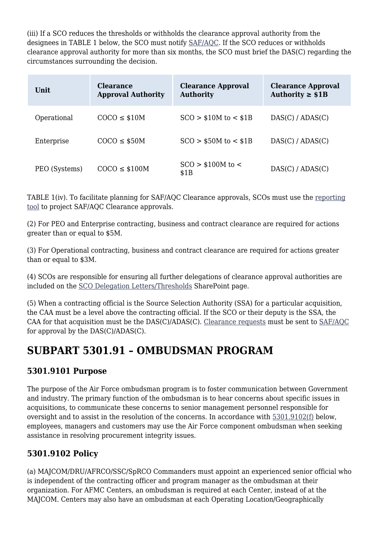(iii) If a SCO reduces the thresholds or withholds the clearance approval authority from the designees in TABLE 1 below, the SCO must notify [SAF/AQC.](mailto:SAF.AQ.SAF-AQC.Workflow@us.af.mil) If the SCO reduces or withholds clearance approval authority for more than six months, the SCO must brief the DAS(C) regarding the circumstances surrounding the decision.

| Unit          | <b>Clearance</b><br><b>Approval Authority</b> | <b>Clearance Approval</b><br><b>Authority</b> | <b>Clearance Approval</b><br>Authority $\geq$ \$1B |
|---------------|-----------------------------------------------|-----------------------------------------------|----------------------------------------------------|
| Operational   | $COCO \leq $10M$                              | $SCO > $10M$ to $< $1B$                       | DAS(C) / ADAS(C)                                   |
| Enterprise    | $COCO \leq $50M$                              | $SCO > $50M$ to $< $1B$                       | DAS(C) / ADAS(C)                                   |
| PEO (Systems) | $COCO \leq $100M$                             | $SCO > $100M$ to $\lt$<br>\$1B                | DAS(C) / ADAS(C)                                   |

TABLE 1(iv). To facilitate planning for SAF/AQC Clearance approvals, SCOs must use the [reporting](https://usaf.dps.mil/sites/AFCC/KnowledgeCenter/quarterly_updates/Forms/AllItems.aspx) [tool](https://usaf.dps.mil/sites/AFCC/KnowledgeCenter/quarterly_updates/Forms/AllItems.aspx) to project SAF/AQC Clearance approvals.

(2) For PEO and Enterprise contracting, business and contract clearance are required for actions greater than or equal to \$5M.

(3) For Operational contracting, business and contract clearance are required for actions greater than or equal to \$3M.

(4) SCOs are responsible for ensuring all further delegations of clearance approval authorities are included on the [SCO Delegation Letters/Thresholds](https://usaf.dps.mil/sites/AFCC/KnowledgeCenter/Lists/delegations/AllItems.aspx) SharePoint page.

(5) When a contracting official is the Source Selection Authority (SSA) for a particular acquisition, the CAA must be a level above the contracting official. If the SCO or their deputy is the SSA, the CAA for that acquisition must be the DAS(C)/ADAS(C). [Clearance requests](https://usaf.dps.mil/sites/AFCC/KnowledgeCenter/contracting_templates/request_for_clearance.pdf) must be sent to [SAF/AQC](mailto:SAF.AQ.SAF-AQC.Workflow@us.af.mil) for approval by the DAS(C)/ADAS(C).

# **SUBPART 5301.91 – OMBUDSMAN PROGRAM**

#### **5301.9101 Purpose**

The purpose of the Air Force ombudsman program is to foster communication between Government and industry. The primary function of the ombudsman is to hear concerns about specific issues in acquisitions, to communicate these concerns to senior management personnel responsible for oversight and to assist in the resolution of the concerns. In accordance with [5301.9102\(f\)](#page--1-0) below, employees, managers and customers may use the Air Force component ombudsman when seeking assistance in resolving procurement integrity issues.

### **5301.9102 Policy**

(a) MAJCOM/DRU/AFRCO/SSC/SpRCO Commanders must appoint an experienced senior official who is independent of the contracting officer and program manager as the ombudsman at their organization. For AFMC Centers, an ombudsman is required at each Center, instead of at the MAJCOM. Centers may also have an ombudsman at each Operating Location/Geographically